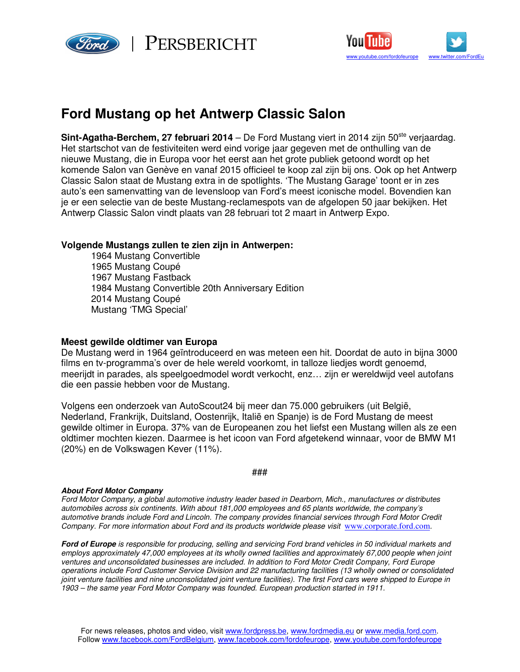



# **Ford Mustang op het Antwerp Classic Salon**

**Sint-Agatha-Berchem, 27 februari 2014** – De Ford Mustang viert in 2014 zijn 50<sup>ste</sup> verjaardag. Het startschot van de festiviteiten werd eind vorige jaar gegeven met de onthulling van de nieuwe Mustang, die in Europa voor het eerst aan het grote publiek getoond wordt op het komende Salon van Genève en vanaf 2015 officieel te koop zal zijn bij ons. Ook op het Antwerp Classic Salon staat de Mustang extra in de spotlights. 'The Mustang Garage' toont er in zes auto's een samenvatting van de levensloop van Ford's meest iconische model. Bovendien kan je er een selectie van de beste Mustang-reclamespots van de afgelopen 50 jaar bekijken. Het Antwerp Classic Salon vindt plaats van 28 februari tot 2 maart in Antwerp Expo.

# **Volgende Mustangs zullen te zien zijn in Antwerpen:**

1964 Mustang Convertible 1965 Mustang Coupé 1967 Mustang Fastback 1984 Mustang Convertible 20th Anniversary Edition 2014 Mustang Coupé Mustang 'TMG Special'

## **Meest gewilde oldtimer van Europa**

De Mustang werd in 1964 geïntroduceerd en was meteen een hit. Doordat de auto in bijna 3000 films en tv-programma's over de hele wereld voorkomt, in talloze liedjes wordt genoemd, meerijdt in parades, als speelgoedmodel wordt verkocht, enz… zijn er wereldwijd veel autofans die een passie hebben voor de Mustang.

Volgens een onderzoek van AutoScout24 bij meer dan 75.000 gebruikers (uit België, Nederland, Frankrijk, Duitsland, Oostenrijk, Italië en Spanje) is de Ford Mustang de meest gewilde oltimer in Europa. 37% van de Europeanen zou het liefst een Mustang willen als ze een oldtimer mochten kiezen. Daarmee is het icoon van Ford afgetekend winnaar, voor de BMW M1 (20%) en de Volkswagen Kever (11%).

#### ###

## **About Ford Motor Company**

Ford Motor Company, a global automotive industry leader based in Dearborn, Mich., manufactures or distributes automobiles across six continents. With about 181,000 employees and 65 plants worldwide, the company's automotive brands include Ford and Lincoln. The company provides financial services through Ford Motor Credit Company. For more information about Ford and its products worldwide please visit www.corporate.ford.com.

**Ford of Europe** is responsible for producing, selling and servicing Ford brand vehicles in 50 individual markets and employs approximately 47,000 employees at its wholly owned facilities and approximately 67,000 people when joint ventures and unconsolidated businesses are included. In addition to Ford Motor Credit Company, Ford Europe operations include Ford Customer Service Division and 22 manufacturing facilities (13 wholly owned or consolidated joint venture facilities and nine unconsolidated joint venture facilities). The first Ford cars were shipped to Europe in 1903 – the same year Ford Motor Company was founded. European production started in 1911.